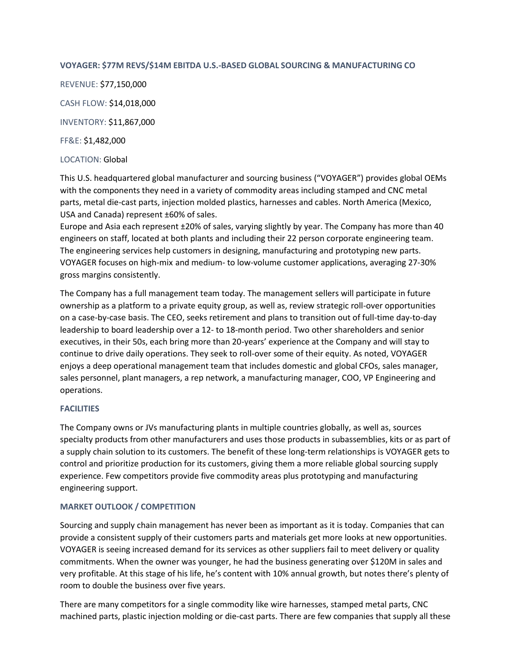### **VOYAGER: \$77M REVS/\$14M EBITDA U.S.-BASED GLOBAL SOURCING & MANUFACTURING CO**

REVENUE: \$77,150,000 CASH FLOW: \$14,018,000 INVENTORY: \$11,867,000 FF&E: \$1,482,000 LOCATION: Global

This U.S. headquartered global manufacturer and sourcing business ("VOYAGER") provides global OEMs with the components they need in a variety of commodity areas including stamped and CNC metal parts, metal die-cast parts, injection molded plastics, harnesses and cables. North America (Mexico, USA and Canada) represent ±60% of sales.

Europe and Asia each represent ±20% of sales, varying slightly by year. The Company has more than 40 engineers on staff, located at both plants and including their 22 person corporate engineering team. The engineering services help customers in designing, manufacturing and prototyping new parts. VOYAGER focuses on high-mix and medium- to low-volume customer applications, averaging 27-30% gross margins consistently.

The Company has a full management team today. The management sellers will participate in future ownership as a platform to a private equity group, as well as, review strategic roll-over opportunities on a case-by-case basis. The CEO, seeks retirement and plans to transition out of full-time day-to-day leadership to board leadership over a 12- to 18-month period. Two other shareholders and senior executives, in their 50s, each bring more than 20-years' experience at the Company and will stay to continue to drive daily operations. They seek to roll-over some of their equity. As noted, VOYAGER enjoys a deep operational management team that includes domestic and global CFOs, sales manager, sales personnel, plant managers, a rep network, a manufacturing manager, COO, VP Engineering and operations.

# **FACILITIES**

The Company owns or JVs manufacturing plants in multiple countries globally, as well as, sources specialty products from other manufacturers and uses those products in subassemblies, kits or as part of a supply chain solution to its customers. The benefit of these long-term relationships is VOYAGER gets to control and prioritize production for its customers, giving them a more reliable global sourcing supply experience. Few competitors provide five commodity areas plus prototyping and manufacturing engineering support.

# **MARKET OUTLOOK / COMPETITION**

Sourcing and supply chain management has never been as important as it is today. Companies that can provide a consistent supply of their customers parts and materials get more looks at new opportunities. VOYAGER is seeing increased demand for its services as other suppliers fail to meet delivery or quality commitments. When the owner was younger, he had the business generating over \$120M in sales and very profitable. At this stage of his life, he's content with 10% annual growth, but notes there's plenty of room to double the business over five years.

There are many competitors for a single commodity like wire harnesses, stamped metal parts, CNC machined parts, plastic injection molding or die-cast parts. There are few companies that supply all these